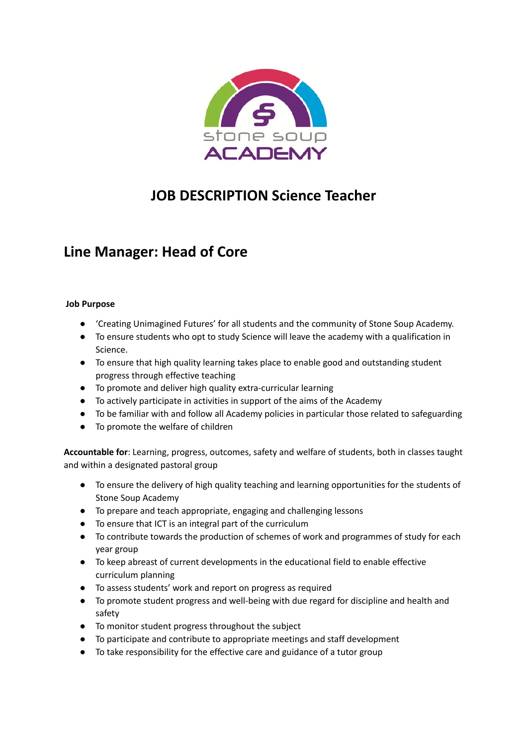

# **JOB DESCRIPTION Science Teacher**

## **Line Manager: Head of Core**

#### **Job Purpose**

- 'Creating Unimagined Futures' for all students and the community of Stone Soup Academy.
- To ensure students who opt to study Science will leave the academy with a qualification in Science.
- To ensure that high quality learning takes place to enable good and outstanding student progress through effective teaching
- To promote and deliver high quality extra-curricular learning
- To actively participate in activities in support of the aims of the Academy
- To be familiar with and follow all Academy policies in particular those related to safeguarding
- To promote the welfare of children

**Accountable for**: Learning, progress, outcomes, safety and welfare of students, both in classes taught and within a designated pastoral group

- To ensure the delivery of high quality teaching and learning opportunities for the students of Stone Soup Academy
- To prepare and teach appropriate, engaging and challenging lessons
- To ensure that ICT is an integral part of the curriculum
- To contribute towards the production of schemes of work and programmes of study for each year group
- To keep abreast of current developments in the educational field to enable effective curriculum planning
- To assess students' work and report on progress as required
- To promote student progress and well-being with due regard for discipline and health and safety
- To monitor student progress throughout the subject
- To participate and contribute to appropriate meetings and staff development
- To take responsibility for the effective care and guidance of a tutor group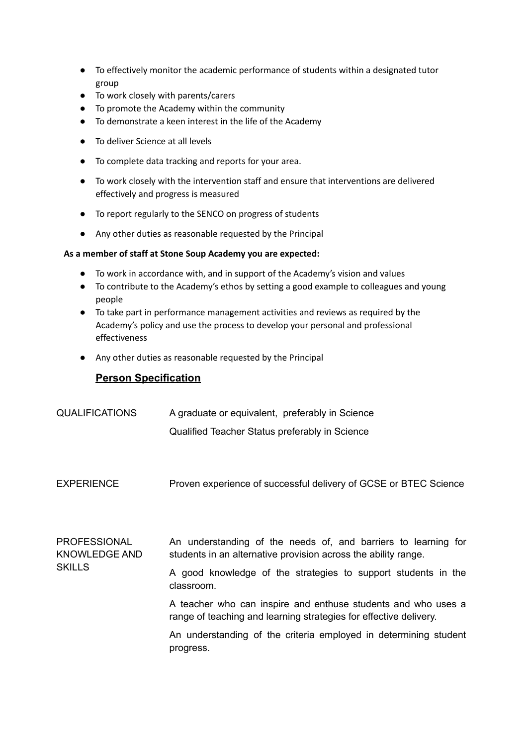- **●** To effectively monitor the academic performance of students within a designated tutor group
- To work closely with parents/carers
- To promote the Academy within the community
- To demonstrate a keen interest in the life of the Academy
- To deliver Science at all levels
- To complete data tracking and reports for your area.
- To work closely with the intervention staff and ensure that interventions are delivered effectively and progress is measured
- To report regularly to the SENCO on progress of students
- Any other duties as reasonable requested by the Principal

#### **As a member of staff at Stone Soup Academy you are expected:**

- To work in accordance with, and in support of the Academy's vision and values
- To contribute to the Academy's ethos by setting a good example to colleagues and young people
- **●** To take part in performance management activities and reviews as required by the Academy's policy and use the process to develop your personal and professional effectiveness
- Any other duties as reasonable requested by the Principal

### **Person Specification**

- QUALIFICATIONS A graduate or equivalent, preferably in Science Qualified Teacher Status preferably in Science
- EXPERIENCE Proven experience of successful delivery of GCSE or BTEC Science
- PROFESSIONAL KNOWLEDGE AND **SKILLS** An understanding of the needs of, and barriers to learning for students in an alternative provision across the ability range.

A good knowledge of the strategies to support students in the classroom.

A teacher who can inspire and enthuse students and who uses a range of teaching and learning strategies for effective delivery.

An understanding of the criteria employed in determining student progress.